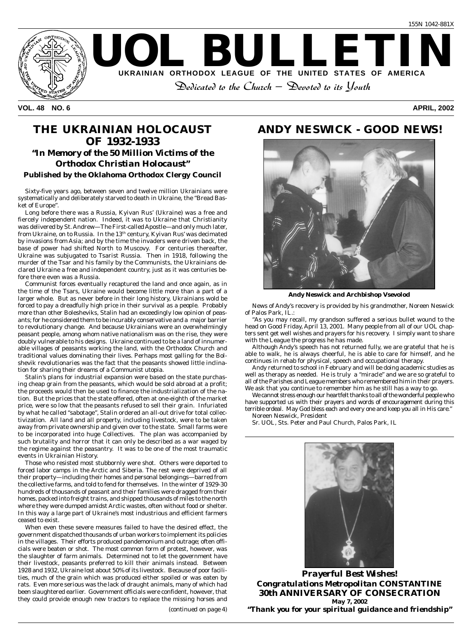

**VOL. 48 NO. 6 APRIL, 2002**

#### **THE UKRAINIAN HOLOCAUST OF 1932-1933** *"In Memory of the 50 Million Victims of the Orthodox Christian Holocaust"* **Published by the Oklahoma Orthodox Clergy Council**

Sixty-five years ago, between seven and twelve million Ukrainians were systematically and deliberately starved to death in Ukraine, the "Bread Basket of Europe".

Long before there was a Russia, Kyivan Rus' (Ukraine) was a free and fiercely independent nation. Indeed, it was to Ukraine that Christianity was delivered by St. Andrew—The First-called Apostle—and only much later, from Ukraine, on to Russia. In the  $13<sup>th</sup>$  century, Kyivan Rus' was decimated by invasions from Asia; and by the time the invaders were driven back, the base of power had shifted North to Muscovy. For centuries thereafter, Ukraine was subjugated to Tsarist Russia. Then in 1918, following the murder of the Tsar and his family by the Communists, the Ukrainians declared Ukraine a free and independent country, just as it was centuries before there even was a Russia.

Communist forces eventually recaptured the land and once again, as in the time of the Tsars, Ukraine would become little more than a part of a larger whole. But as never before in their long history, Ukrainians wold be forced to pay a dreadfully high price in their survival as a people. Probably more than other Bolesheviks, Stalin had an exceedingly low opinion of peasants; for he considered them to be incurably conservative and a major barrier to revolutionary change. And because Ukrainians were an overwhelmingly peasant people, among whom native nationalism was on the rise, they were doubly vulnerable to his designs. Ukraine continued to be a land of innumerable villages of peasants working the land, with the Orthodox Church and traditional values dominating their lives. Perhaps most galling for the Bolshevik revolutionaries was the fact that the peasants showed little inclination for sharing their dreams of a Communist utopia.

Stalin's plans for industrial expansion were based on the state purchasing cheap grain from the peasants, which would be sold abroad at a profit; the proceeds would then be used to finance the industrialization of the nation. But the prices that the state offered, often at one-eighth of the market price, were so low that the peasants refused to sell their grain. Infuriated by what he called "sabotage", Stalin ordered an all-out drive for total collectivization. All land and all property, including livestock, were to be taken away from private ownership and given over to the state. Small farms were to be incorporated into huge Collectives. The plan was accompanied by such brutality and horror that it can only be described as a war waged by the regime against the peasantry. It was to be one of the most traumatic events in Ukrainian History.

Those who resisted most stubbornly were shot. Others were deported to forced labor camps in the Arctic and Siberia. The rest were deprived of all their property—including their homes and personal belongings—barred from the collective farms, and told to fend for themselves. In the winter of 1929-30 hundreds of thousands of peasant and their families were dragged from their homes, packed into freight trains, and shipped thousands of miles to the north where they were dumped amidst Arctic wastes, often without food or shelter. In this way a large part of Ukraine's most industrious and efficient farmers ceased to exist.

When even these severe measures failed to have the desired effect, the government dispatched thousands of urban workers to implement its policies in the villages. Their efforts produced pandemonium and outrage; often officials were beaten or shot. The most common form of protest, however, was the slaughter of farm animals. Determined not to let the government have their livestock, peasants preferred to kill their animals instead. Between 1928 and 1932, Ukraine lost about 50% of its livestock. Because of poor facilities, much of the grain which was produced either spoiled or was eaten by rats. Even more serious was the lack of draught animals, many of which had been slaughtered earlier. Government officials were confident, however, that they could provide enough new tractors to replace the missing horses and

*(continued on page 4)*

#### **ANDY NESWICK - GOOD NEWS!**



*Andy Neswick and Archbishop Vsevolod*

News of Andy's recovery is provided by his grandmother, Noreen Neswick of Palos Park, IL.:

"As you may recall, my grandson suffered a serious bullet wound to the head on Good Friday, April 13, 2001. Many people from all of our UOL chapters sent get well wishes and prayers for his recovery. I simply want to share with the League the progress he has made.

Although Andy's speech has not returned fully, we are grateful that he is able to walk, he is always cheerful, he is able to care for himself, and he continues in rehab for physical, speech and occupational therapy.

Andy returned to school in February and will be doing academic studies as well as therapy as needed. He is truly a "miracle" and we are so grateful to all of the Parishes and League members who remembered him in their prayers. We ask that you continue to remember him as he still has a way to go.

We cannot stress enough our heartfelt thanks to all of the wonderful people who have supported us with their prayers and words of encouragement during this terrible ordeal. May God bless each and every one and keep you all in His care." Noreen Neswick, President

Sr. UOL, Sts. Peter and Paul Church, Palos Park, IL



*Prayerful Best Wishes! Congratulations Metropolitan CONSTANTINE* **30th ANNIVERSARY OF CONSECRATION May 7, 2002** *"Thank you for your spiritual guidance and friendship"*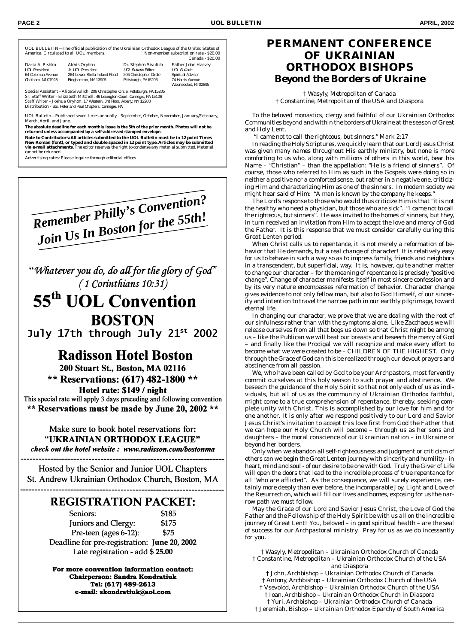UOL BULLETIN—The official publication of the Ukrainian Orthodox League of the United States of Non-member subscription rate - \$20.00 Canada - \$20.00

| Daria A. Pishko<br><b>UOL President</b> | Alexis Oryhon<br>Jr. UOL President | Dr. Stephen Sivulich<br><b>UOL Bulletin Editor</b> | Father John Harvey<br><b>UOL Bulletin</b> |
|-----------------------------------------|------------------------------------|----------------------------------------------------|-------------------------------------------|
| 64 Coleman Avenue                       | 264 Lower Stella Ireland Road      | 206 Christopher Circle                             | Spiritual Advisor                         |
| Chatham, NJ 07928                       | Binghamton, NY 13905               | Pittsburgh, PA 15205                               | 74 Harris Avenue                          |
|                                         |                                    |                                                    | Woonsocket, RI 02895                      |

Special Assistant - *Alice Sivulich,* 206 Christopher Circle, Pittsburgh, PA 15205 Sr. Staff Writer - *Elizabeth Mitchell,* 46 Lexington Court, Carnegie, PA 15106 Staff Writer - *Joshua Oryhon,* 17 Western, 3rd Floor, Albany, NY 12203 Distribution - Sts. Peter and Paul Chapters, Carnegie, PA

*UOL Bulletin*—Published seven times annually - September, October, November, January/February, March, April, and June.

**The absolute deadline for each monthly issue is the 5th of the prior month. Photos will not be returned unless accompanied by a self-addressed stamped envelope.**

**Note to Contributors: All articles submitted to the** *UOL Bulletin* **must be in 12 point Times New Roman (font), or typed and double spaced in 12 point type. Articles may be submitted via e-mail attachments.** The editor reserves the right to condense any material submitted. Material cannot be returned.

Advertising rates: Please inquire through editorial offices.



"Whatever you do, do all for the glory of God" (1 Corinthians 10:31)

# 55<sup>th</sup> UOL Convention **BOSTON**

July 17th through July 21st 2002

## **Radisson Hotel Boston**

200 Stuart St., Boston, MA 02116 \*\* Reservations: (617) 482-1800 \*\* Hotel rate: \$149 / night

This special rate will apply 3 days preceding and following convention \*\* Reservations must be made by June 20, 2002 \*\*

Make sure to book hotel reservations for: "UKRAINIAN ORTHODOX LEAGUE" check out the hotel website: www.radisson.com/bostonma

Hosted by the Senior and Junior UOL Chapters St. Andrew Ukrainian Orthodox Church, Boston, MA

## **REGISTRATION PACKET:**

Seniors: \$185 Juniors and Clergy: \$175 Pre-teen (ages 6-12): \$75 Deadline for pre-registration: June 20, 2002 Late registration - add \$25.00

For more convention information contact: Chairperson: Sandra Kondratiuk Tel: (617) 489-2613 e-mail: skondratiuk@aol.com

#### **PERMANENT CONFERENCE OF UKRAINIAN ORTHODOX BISHOPS** *Beyond the Borders of Ukraine*

† Wasyly, Metropolitan of Canada † Constantine, Metropolitan of the USA and Diaspora

To the beloved monastics, clergy and faithful of our Ukrainian Orthodox Communities beyond and within the borders of Ukraine at the season of Great and Holy Lent.

"*I came not to call the righteous, but sinners."* Mark 2:17

In reading the Holy Scriptures, we quickly learn that our Lord Jesus Christ was given many names throughout His earthly ministry, but none is more comforting to us who, along with millions of others in this world, bear his Name – "Christian" – than the appellation: "He is a friend of sinners". Of course, those who referred to Him as such in the Gospels were doing so in neither a positive nor a comforted sense, but rather in a negative one, criticizing Him and characterizing Him as *one* of the sinners. In modern society we might hear said of Him: "A man is known by the company he keeps."

The Lord's response to those who would thus criticize Him is that "it is not the healthy who need a physician, but those who are sick". *"I came not to call the righteous, but sinners".* He was invited to the homes of sinners, but they, in turn received an invitation from Him to accept the love and mercy of God the Father. It is this response that we must consider carefully during this Great Lenten period.

When Christ calls us to repentance, it is not merely a reformation of behavior that He demands, but a real change of character! It is relatively easy for us to *behave* in such a way so as to impress family, friends and neighbors in a transcendent, but superficial, way. It is, however, quite another matter to change our character – for the meaning of repentance is precisely "positive change". Change of character manifests itself in most sincere confession and by its very nature encompasses reformation of behavior. Character change gives evidence to not only fellow man, but also to God Himself, of our sincerity and intention to travel the narrow path in our earthly pilgrimage, toward eternal life.

In changing our character, we prove that we are dealing with the root of our sinfulness rather than with the symptoms alone. Like Zacchaeus we will release ourselves from all that bogs us down so that Christ might be among us – like the Publican we will beat our breasts and beseech the mercy of God – and finally like the Prodigal we will recognize and make every effort to become what we were created to be – CHILDREN OF THE HIGHEST. Only through the Grace of God can this be realized through our devout prayers and abstinence from all passion.

We, who have been called by God to be your Archpastors, most fervently commit ourselves at this holy season to such prayer and abstinence. We beseech the guidance of the Holy Spirit so that not only each of us as individuals, but all of us as the community of Ukrainian Orthodox faithful, might come to a true comprehension of repentance, thereby, seeking complete unity with Christ. This is accomplished by our love for him and for one another. It is only after we respond positively to our Lord and Savior Jesus Christ's invitation to accept this love first from God the Father that we can hope our Holy Church will become – through us as her sons and daughters – the moral conscience of our Ukrainian nation – in Ukraine or beyond her borders.

Only when we abandon all self-righteousness and judgment or criticism of others can we begin the Great Lenten journey with sincerity and humility - in heart, mind and soul - of our desire to be one with God. Truly the Giver of Life will open the doors that lead to the incredible process of true repentance for all "who are afflicted". As the consequence, we will surely experience, certainly more deeply than ever before, the incomparable Joy, Light and Love of the Resurrection, which will fill our lives and homes, exposing for us the narrow path we must follow.

May the Grace of our Lord and Savior Jesus Christ, the Love of God the Father and the Fellowship of the Holy Spirit be with us all on the incredible journey of Great Lent! You, beloved – in good spiritual health – are the seal of success for our Archpastoral ministry. Pray for us as we do incessantly for you.

† Wasyly, Metropolitan – Ukrainian Orthodox Church of Canada † Constantine, Metropolitan – Ukrainian Orthodox Church of the USA and Diaspora † John, Archbishop – Ukrainian Orthodox Church of Canada † Antony, Archbishop – Ukrainian Orthodox Church of the USA

† Vsevolod, Archbishop – Ukrainian Orthodox Church of the USA † Ioan, Archbishop – Ukrainian Orthodox Church in Diaspora

† Yuri, Archbishop – Ukrainian Orthodox Church of Canada † Jeremiah, Bishop – Ukrainian Orthodox Eparchy of South America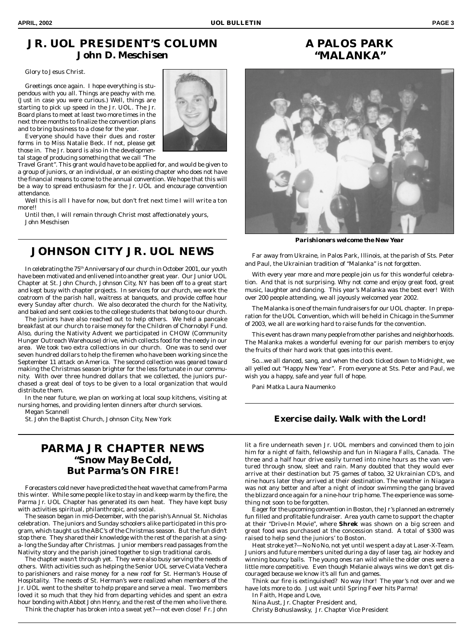# **A PALOS PARK**

### **JR. UOL PRESIDENT'S COLUMN** *John D. Meschisen*

Glory to Jesus Christ.

Greetings once again. I hope everything is stupendous with you all. Things are peachy with me. (Just in case you were curious.) Well, things are starting to pick up speed in the Jr. UOL. The Jr. Board plans to meet at least two more times in the next three months to finalize the convention plans and to bring business to a close for the year.

Everyone should have their dues and roster forms in to Miss Natalie Beck. If not, please get those in. The Jr. board is also in the developmental stage of producing something that we call "The

Travel Grant". This grant would have to be applied for, and would be given to a group of juniors, or an individual, or an existing chapter who does not have the financial means to come to the annual convention. We hope that this will be a way to spread enthusiasm for the Jr. UOL and encourage convention attendance.

Well this is all I have for now, but don't fret next time I will write a ton more!!

Until then, I will remain through Christ most affectionately yours, John Meschisen

## **JOHNSON CITY JR. UOL NEWS**

In celebrating the 75th Anniversary of our church in October 2001, our youth have been motivated and enlivened into another great year. Our Junior UOL Chapter at St. John Church, Johnson City, NY has been off to a great start and kept busy with chapter projects. In services for our church, we work the coatroom of the parish hall, waitress at banquets, and provide coffee hour every Sunday after church. We also decorated the church for the Nativity, and baked and sent cookies to the college students that belong to our church.

The juniors have also reached out to help others. We held a pancake breakfast at our church to raise money for the Children of Chornobyl Fund. Also, during the Nativity Advent we participated in CHOW (Community Hunger Outreach Warehouse) drive, which collects food for the needy in our area. We took two extra collections in our church. One was to send over seven hundred dollars to help the firemen who have been working since the September 11 attack on America. The second collection was geared toward making the Christmas season brighter for the less fortunate in our community. With over three hundred dollars that we collected, the juniors purchased a great deal of toys to be given to a local organization that would distribute them.

In the near future, we plan on working at local soup kitchens, visiting at nursing homes, and providing lenten dinners after church services. Megan Scannell

St. John the Baptist Church, Johnson City, New York

#### **PARMA JR CHAPTER NEWS** *"Snow May Be Cold, But Parma's ON FIRE!*

Forecasters cold never have predicted the heat wave that came from Parma this winter. While some people like to stay in and keep warm by the fire, the Parma Jr. UOL Chapter has generated its own heat. They have kept busy with activities spiritual, philanthropic, and social.

The season began in mid-December, with the parish's Annual St. Nicholas celebration. The juniors and Sunday schoolers alike participated in this program, which taught us the ABC's of the Christmas season. But the fun didn't stop there. They shared their knowledge with the rest of the parish at a singa- long the Sunday after Christmas. Junior members read passages from the Nativity story and the parish joined together to sign traditional carols.

The chapter wasn't through yet. They were also busy serving the needs of others. With activities such as helping the Senior UOL serve Cviata Vechera to parishioners and raise money for a new roof for St. Herman's House of Hospitality. The needs of St. Herman's were realized when members of the Jr. UOL went to the shelter to help prepare and serve a meal. Two members loved it so much that they hid from departing vehicles and spent an extra hour bonding with Abbot John Henry, and the rest of the men who live there.

Think the chapter has broken into a sweat yet?—not even close! Fr. John





**"MALANKA"**

*Parishioners welcome the New Year*

Far away from Ukraine, in Palos Park, Illinois, at the parish of Sts. Peter and Paul, the Ukrainian tradition of "Malanka" is not forgotten.

With every year more and more people join us for this wonderful celebration. And that is not surprising. Why not come and enjoy great food, great music, laughter and dancing. This year's Malanka was the best ever! With over 200 people attending, we all joyously welcomed year 2002.

The Malanka is one of the main fundraisers for our UOL chapter. In preparation for the UOL Convention, which will be held in Chicago in the Summer of 2003, we all are working hard to raise funds for the convention.

This event has drawn many people from other parishes and neighborhoods. The Malanka makes a wonderful evening for our parish members to enjoy the fruits of their hard work that goes into this event.

So...we all danced, sang, and when the clock ticked down to Midnight, we all yelled out "Happy New Year". From everyone at Sts. Peter and Paul, we wish you a happy, safe and year full of hope.

Pani Matka Laura Naumenko

#### **Exercise daily. Walk with the Lord!**

lit a fire underneath seven Jr. UOL members and convinced them to join him for a night of faith, fellowship and fun in Niagara Falls, Canada. The three and a half hour drive easily turned into nine hours as the van ventured through snow, sleet and rain. Many doubted that they would ever arrive at their destination but 75 games of taboo, 32 Ukrainian CD's, and nine hours later they arrived at their destination. The weather in Niagara was not any better and after a night of indoor swimming the gang braved the blizzard once again for a nine-hour trip home. The experience was something not soon to be forgotten.

Eager for the upcoming convention in Boston, the Jr's planned an extremely fun filled and profitable fundraiser. Area youth came to support the chapter at their "Drive-In Movie", where *Shrek* was shown on a big screen and great food was purchased at the concession stand. A total of \$300 was raised to help send the juniors' to Boston.

Heat stroke yet?—No No No, not yet until we spent a day at Laser-X-Team. Juniors and future members united during a day of laser tag, air hockey and winning bouncy balls. The young ones ran wild while the older ones were a little more competitive. Even though Melanie always wins we don't get discouraged because we know it's all fun and games.

Think our fire is extinguished? No way Ihor! The year's not over and we have lots more to do. *Just wait until Spring Fever hits Parma!*

In Faith, Hope and Love,

Nina Aust, Jr. Chapter President and, Christy Bohuslawsky, Jr. Chapter Vice President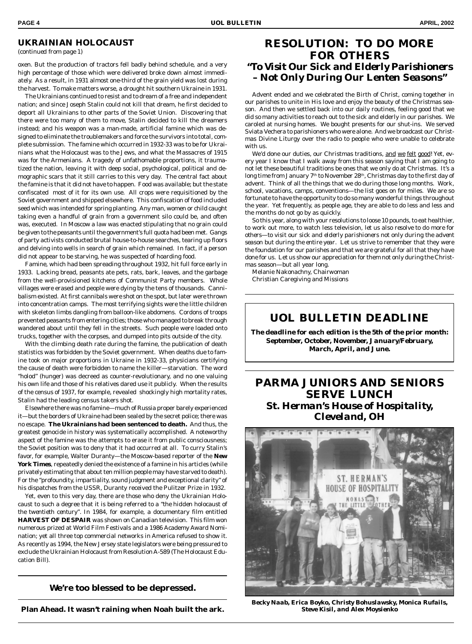#### **UKRAINIAN HOLOCAUST**

*(continued from page 1)*

oxen. But the production of tractors fell badly behind schedule, and a very high percentage of those which were delivered broke down almost immediately. As a result, in 1931 almost one-third of the grain yield was lost during the harvest. To make matters worse, a drought hit southern Ukraine in 1931.

The Ukrainians continued to resist and to dream of a free and independent nation; and since Joseph Stalin could not kill that dream, he first decided to deport all Ukrainians to other parts of the Soviet Union. Discovering that there were too many of them to move, Stalin decided to kill the dreamers instead; and his weapon was a man-made, artificial famine which was designed to eliminate the troublemakers and force the survivors into total, complete submission. The famine which occurred in 1932-33 was to be for Ukrainians what the Holocaust was to the Jews, and what the Massacres of 1915 was for the Armenians. A tragedy of unfathomable proportions, it traumatized the nation, leaving it with deep social, psychological, political and demographic scars that it still carries to this very day. The central fact about the famine is that it did not have to happen. Food was available; but the state confiscated most of it for its own use. All crops were requisitioned by the Soviet government and shipped elsewhere. This confiscation of food included seed which was intended for spring planting. Any man, women or child caught taking even a handful of grain from a government silo could be, and often was, executed. In Moscow a law was enacted stipulating that no grain could be given to the peasants until the government's full quota had been met. Gangs of party activists conducted brutal house-to-house searches, tearing up floors and delving into wells in search of grain which remained. In fact, if a person did not appear to be starving, he was suspected of hoarding food.

Famine, which had been spreading throughout 1932, hit full force early in 1933. Lacking bread, peasants ate pets, rats, bark, leaves, and the garbage from the well-provisioned kitchens of Communist Party members. Whole villages were erased and people were dying by the tens of thousands. Cannibalism existed. At first cannibals were shot on the spot, but later were thrown into concentration camps. The most terrifying sights were the little children with skeleton limbs dangling from balloon-like abdomens. Cordons of troops prevented peasants from entering cities; those who managed to break through wandered about until they fell in the streets. Such people were loaded onto trucks, together with the corpses, and dumped into pits outside of the city.

With the climbing death rate during the famine, the publication of death statistics was forbidden by the Soviet government. When deaths due to famine took on major proportions in Ukraine in 1932-33, physicians certifying the cause of death were forbidden to name the killer—starvation. The word "holod" (hunger) was decreed as counter-revolutionary, and no one valuing his own life and those of his relatives dared use it publicly. When the results of the census of 1937, for example, revealed shockingly high mortality rates, Stalin had the leading census takers shot.

Elsewhere there was no famine—much of Russia proper barely experienced it—but the borders of Ukraine had been sealed by the secret police; there was no escape. **The Ukrainians had been sentenced to death.** And thus, the greatest genocide in history was systematically accomplished. A noteworthy aspect of the famine was the attempts to erase it from public consciousness; the Soviet position was to deny that it had occurred at all. To curry Stalin's favor, for example, Walter Duranty—the Moscow-based reporter of the *New York Times*, repeatedly denied the existence of a famine in his articles (while privately estimating that about ten million people may have starved to death). For the "profoundity, impartiality, sound judgment and exceptional clarity" of his dispatches from the USSR, Duranty received the Pulitzer Prize in 1932.

Yet, even to this very day, there are those who deny the Ukrainian Holocaust to such a degree that it is being referred to a *"the hidden holocaust of the twentieth century".* In 1984, for example, a documentary film entitled **HARVEST OF DESPAIR** was shown on Canadian television. This film won numerous prized at World Film Festivals and a 1986 Academy Award Nomination; yet all three top commercial networks in America refused to show it. As recently as 1994, the New Jersey state legislators were being pressured to exclude the Ukrainian Holocaust from Resolution A-589 (The Holocaust Education Bill).

**We're too blessed to be depressed.**

**Plan Ahead. It wasn't raining when Noah built the ark.**

#### **RESOLUTION: TO DO MORE FOR OTHERS** *"To Visit Our Sick and Elderly Parishioners – Not Only During Our Lenten Seasons"*

Advent ended and we celebrated the Birth of Christ, coming together in our parishes to unite in His love and enjoy the beauty of the Christmas season. And then we settled back into our daily routines, feeling good that we did so many activities to reach out to the sick and elderly in our parishes. We caroled at nursing homes. We bought presents for our shut-ins. We served Sviata Vechera to parishioners who were alone. And we broadcast our Christmas Divine Liturgy over the radio to people who were unable to celebrate with us.

We'd done our duties, our Christmas traditions, and we felt good! Yet, every year I know that I walk away from this season saying that I am going to not let these beautiful traditions be ones that we only do at Christmas. It's a long time from January 7<sup>th</sup> to November 28<sup>th</sup>, Christmas day to the first day of advent. Think of all the things that we do during those long months. Work, school, vacations, camps, conventions—the list goes on for miles. We are so fortunate to have the opportunity to do so many wonderful things throughout the year. Yet frequently, as people age, they are able to do less and less and the months do not go by as quickly.

So this year, along with your resolutions to loose 10 pounds, to eat healthier, to work out more, to watch less television, *let us also resolve to do more for others—to visit our sick and elderly parishioners not only during the advent season but during the entire year*. Let us strive to remember that they were the foundation for our parishes and that we are grateful for all that they have done for us. Let us show our appreciation for them not only during the Christmas season—but all year long.

Melanie Nakonachny, Chairwoman Christian Caregiving and Missions

#### **UOL BULLETIN DEADLINE**

*The deadline for each edition is the 5th of the prior month: September, October, November, January/February, March, April, and June.*

#### **PARMA JUNIORS AND SENIORS SERVE LUNCH** *St. Herman's House of Hospitality, Cleveland, OH*



*Becky Naab, Erica Boyko, Christy Bohuslawsky, Monica Rufails, Steve Kisil, and Alex Moysienko*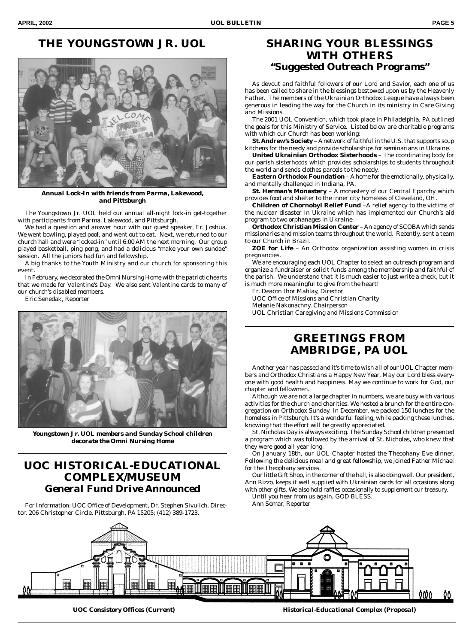### **THE YOUNGSTOWN JR. UOL**



*Annual Lock-In with friends from Parma, Lakewood, and Pittsburgh*

The Youngstown Jr. UOL held our annual all-night lock-in get-together with participants from Parma, Lakewood, and Pittsburgh.

We had a question and answer hour with our guest speaker, Fr. Joshua. We went bowling, played pool, and went out to eat. Next, we returned to our church hall and were "locked-in" until 6:00 AM the next morning. Our group played basketball, ping pong, and had a delicious "make your own sundae" session. All the juniors had fun and fellowship.

A big thanks to the Youth Ministry and our church for sponsoring this event.

In February, we decorated the Omni Nursing Home with the patriotic hearts that we made for Valentine's Day. We also sent Valentine cards to many of our church's disabled members.

Eric Senedak, Reporter



*Youngstown Jr. UOL members and Sunday School children decorate the Omni Nursing Home*

#### **UOC HISTORICAL-EDUCATIONAL COMPLEX/MUSEUM** *General Fund Drive Announced*

For Information: UOC Office of Development, Dr. Stephen Sivulich, Director, 206 Christopher Circle, Pittsburgh, PA 15205; (412) 389-1723.

#### **SHARING YOUR BLESSINGS WITH OTHERS** *"Suggested Outreach Programs"*

As devout and faithful followers of our Lord and Savior, each one of us has been called to share in the blessings bestowed upon us by the Heavenly Father. The members of the Ukrainian Orthodox League have always been generous in leading the way for the Church in its ministry in *Care Giving and Missions*.

The 2001 UOL Convention, which took place in Philadelphia, PA outlined the goals for this Ministry of Service. Listed below are charitable programs with which our Church has been working:

**St. Andrew's Society** – A network of faithful in the U.S. that supports soup kitchens for the needy and provide scholarships for seminarians in Ukraine.

**United Ukrainian Orthodox Sisterhoods** – The coordinating body for our parish sisterhoods which provides scholarships to students throughout the world and sends clothes parcels to the needy.

**Eastern Orthodox Foundation** – A home for the emotionally, physically, and mentally challenged in Indiana, PA.

**St. Herman's Monastery** – A monastery of our Central Eparchy which provides food and shelter to the inner city homeless of Cleveland, OH.

**Children of Chornobyl Relief Fund** –A relief agency to the victims of the nuclear disaster in Ukraine which has implemented our Church's aid program to two orphanages in Ukraine.

**Orthodox Christian Mission Center** – An agency of SCOBA which sends missionaries and mission teams throughout the world. Recently, sent a team to our Church in Brazil.

**ZOE for Life** – An Orthodox organization assisting women in crisis pregnancies.

We are encouraging each UOL Chapter to select an outreach program and organize a fundraiser or solicit funds among the membership and faithful of the parish. We understand that it is much easier to just write a check, but it is much more meaningful to give from the heart!

Fr. Deacon Ihor Mahlay, Director

UOC Office of Missions and Christian Charity

Melanie Nakonachny, Chairperson

UOL Christian Caregiving and Missions Commission

#### **GREETINGS FROM AMBRIDGE, PA UOL**

Another year has passed and it's time to wish all of our UOL Chapter members and Orthodox Christians a Happy New Year. May our Lord bless everyone with good health and happiness. May we continue to work for God, our chapter and fellowmen.

Although we are not a large chapter in numbers, we are busy with various activities for the church and charities. We hosted a brunch for the entire congregation on Orthodox Sunday. In December, we packed 150 lunches for the homeless in Pittsburgh. It's a wonderful feeling, while packing these lunches, knowing that the effort will be greatly appreciated.

St. Nicholas Day is always exciting. The Sunday School children presented a program which was followed by the arrival of St. Nicholas, who knew that they were good all year long.

On January 18th, our UOL Chapter hosted the Theophany Eve dinner. Following the delicious meal and great fellowship, we joined Father Michael for the Theophany services.

Our little Gift Shop, in the corner of the hall, is also doing well. Our president, Ann Rizzo, keeps it well supplied with Ukrainian cards for all occasions along with other gifts. We also hold raffles occasionally to supplement our treasury.

Until you hear from us again, GOD BLESS.

Ann Somar, Reporter



*UOC Consistory Offices (Current) Historical-Educational Complex (Proposal)*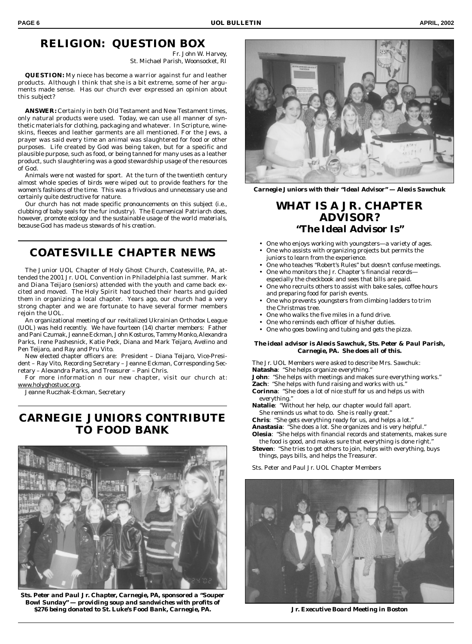#### **RELIGION: QUESTION BOX**

Fr. John W. Harvey, St. Michael Parish, Woonsocket, RI

**QUESTION:** My niece has become a warrior against fur and leather products. Although I think that she is a bit extreme, some of her arguments made sense. Has our church ever expressed an opinion about this subject?

**ANSWER:** Certainly in both Old Testament and New Testament times, only natural products were used. Today, we can use all manner of synthetic materials for clothing, packaging and whatever. In Scripture, wineskins, fleeces and leather garments are all mentioned. For the Jews, a prayer was said every time an animal was slaughtered for food or other purposes. Life created by God was being taken, but for a specific and plausible purpose, such as food, or being tanned for many uses as a leather product, such slaughtering was a good stewardship usage of the resources of God.

Animals were not wasted for sport. At the turn of the twentieth century almost whole species of birds were wiped out to provide feathers for the women's fashions of the time. This was a frivolous and unnecessary use and certainly quite destructive for nature.

Our church has not made specific pronouncements on this subject (i.e., clubbing of baby seals for the fur industry). The Ecumenical Patriarch does, however, *promote ecology and the sustainable usage of the world materials, because God has made us stewards of his creation.*

#### **COATESVILLE CHAPTER NEWS**

The Junior UOL Chapter of Holy Ghost Church, Coatesville, PA, attended the 2001 Jr. UOL Convention in Philadelphia last summer. Mark and Diana Teijaro (seniors) attended with the youth and came back excited and moved. The Holy Spirit had touched their hearts and guided them in organizing a local chapter. Years ago, our church had a very strong chapter and we are fortunate to have several former members rejoin the UOL.

An organizational meeting of our revitalized Ukrainian Orthodox League (UOL) was held recently. We have fourteen (14) charter members: Father and Pani Czumak, Jeanne Eckman, John Kosturos, Tammy Monko, Alexandra Parks, Irene Pashesnick, Katie Peck, Diana and Mark Teijaro, Avelino and Pen Teijaro, and Ray and Pru Vito.

New elected chapter officers are: President – Diana Teijaro, Vice-President – Ray Vito, Recording Secretary – Jeanne Eckman, Corresponding Secretary – Alexandra Parks, and Treasurer – Pani Chris.

For more information n our new chapter, visit our church at: www.holyghostuoc.org.

Jeanne Ruczhak-Eckman, Secretary

#### **CARNEGIE JUNIORS CONTRIBUTE TO FOOD BANK**



*Sts. Peter and Paul Jr. Chapter, Carnegie, PA, sponsored a "Souper Bowl Sunday" — providing soup and sandwiches with profits of \$276 being donated to St. Luke's Food Bank, Carnegie, PA. Jr. Executive Board Meeting in Boston*



*Carnegie Juniors with their "Ideal Advisor" — Alexis Sawchuk*

#### **WHAT IS A JR. CHAPTER ADVISOR?** *"The Ideal Advisor Is"*

- One who enjoys working with youngsters—a variety of ages.
- One who assists with organizing projects but permits the juniors to learn from the experience.
- One who teaches "Robert's Rules" but doesn't confuse meetings. • One who monitors the Jr. Chapter's financial records—
- especially the checkbook and sees that bills are paid.
- One who recruits others to assist with bake sales, coffee hours and preparing food for parish events.
- One who prevents youngsters from climbing ladders to trim the Christmas tree.
- One who walks the five miles in a fund drive.
- One who reminds each officer of his/her duties.
- One who goes bowling and tubing and gets the pizza.

#### *The ideal advisor is Alexis Sawchuk, Sts. Peter & Paul Parish, Carnegie, PA. She does all of this.*

The Jr. UOL Members were asked to describe Mrs. Sawchuk: **Natasha**: "She helps organize everything." **John**: "She helps with meetings and makes sure everything works." **Zach**: "She helps with fund raising and works with us."

**Corinna**: "She does a lot of nice stuff for us and helps us with everything."

**Natalie**: "Without her help, our chapter would fall apart. She reminds us what to do. She is really great."

**Chris**: "She gets everything ready for us, and helps a lot."

- **Anastasia**: "She does a lot. She organizes and is very helpful." **Olesia**: "She helps with financial records and statements, makes sure
- the food is good, and makes sure that everything is done right." **Steven**: "She tries to get others to join, helps with everything, buys things, pays bills, and helps the Treasurer.
- Sts. Peter and Paul Jr. UOL Chapter Members

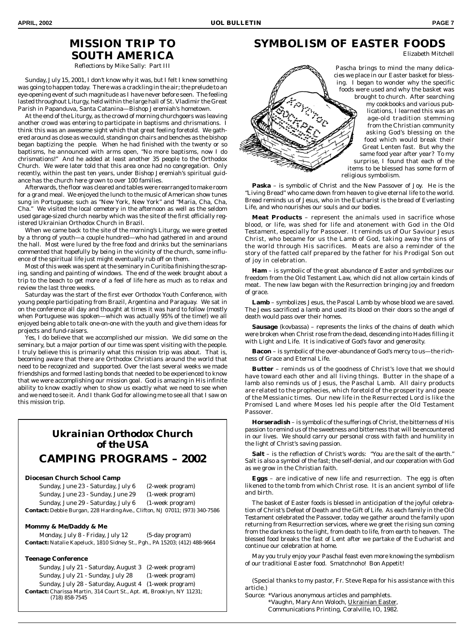#### **MISSION TRIP TO SOUTH AMERICA**

Reflections by Mike Sally: Part III

Sunday, July 15, 2001, I don't know why it was, but I felt I knew something was going to happen today. There was a crackling in the air; the prelude to an eye-opening event of such magnitude as I have never before seen. The feeling lasted throughout Liturgy, held within the large hall of St. Vladimir the Great Parish in Papanduva, Santa Catanina—Bishop Jeremiah's hometown.

At the end of the Liturgy, as the crowd of morning churchgoers was leaving another crowd was entering to participate in baptisms and chrismations. I think this was an awesome sight which that great feeling foretold. We gathered around as close as we could, standing on chairs and benches as the bishop began baptizing the people. When he had finished with the twenty or so baptisms, he announced with arms open, "No more baptisms, now I do chrismations!" And he added at least another 35 people to the Orthodox Church. We were later told that this area once had no congregation. Only recently, within the past ten years, under Bishop Jeremiah's spiritual guidance has the church here grown to over 100 families.

Afterwards, the floor was cleared and tables were rearranged to make room for a grand meal. We enjoyed the lunch to the music of American show tunes sung in Portuguese; such as "New York, New York" and "Maria, Cha, Cha, Cha." We visited the local cemetery in the afternoon as well as the seldom used garage-sized church nearby which was the site of the first officially registered Ukrainian Orthodox Church in Brazil.

When we came back to the site of the morning's Liturgy, we were greeted by a throng of youth—a couple hundred—who had gathered in and around the hall. Most were lured by the free food and drinks but the seminarians commented that hopefully by being in the vicinity of the church, some influence of the spiritual life just might eventually rub off on them.

Most of this week was spent at the seminary in Curitiba finishing the scraping, sanding and painting of windows. The end of the week brought about a trip to the beach to get more of a feel of life here as much as to relax and review the last three weeks.

Saturday was the start of the first ever Orthodox Youth Conference, with young people participating from Brazil, Argentina and Paraguay. We sat in on the conference all day and thought at times it was hard to follow (mostly when Portuguese was spoken—which was actually 95% of the time!) we all enjoyed being able to talk one-on-one with the youth and give them ideas for projects and fund-raisers.

Yes, I do believe that we accomplished our mission. We did some on the seminary, but a major portion of our time was spent visiting with the people. I truly believe this is primarily what this mission trip was about. That is, becoming aware that there are Orthodox Christians around the world that need to be recognized and supported. Over the last several weeks we made friendships and formed lasting bonds that needed to be experienced to know that we were accomplishing our mission goal. God is amazing in His infinite ability to know exactly when to show us exactly what we need to see when and we need to see it. And I thank God for allowing me to see all that I saw on this mission trip.

#### *Ukrainian Orthodox Church of the USA CAMPING PROGRAMS – 2002*

#### **Diocesan Church School Camp**

| Sunday, June 23 - Saturday, July 6                                          | (2-week program) |
|-----------------------------------------------------------------------------|------------------|
| Sunday, June 23 - Sunday, June 29                                           | (1-week program) |
| Sunday, June 29 - Saturday, July 6                                          | (1-week program) |
| Contact: Debbie Burgan, 228 Harding Ave., Clifton, NJ 07011; (973) 340-7586 |                  |

#### **Mommy & Me/Daddy & Me**

Monday, July 8 - Friday, July 12 (5-day program) **Contact:** Natalie Kapeluck, 1810 Sidney St., Pgh., PA 15203; (412) 488-9664

#### **Teenage Conference**

Sunday, July 21 - Saturday, August 3 (2-week program) Sunday, July 21 - Sunday, July 28 (1-week program) Sunday, July 28 - Saturday, August 4 (1-week program) **Contact:** Charissa Martin, 314 Court St., Apt. #1, Brooklyn, NY 11231; (718) 858-7545

### **SYMBOLISM OF EASTER FOODS**

Elizabeth Mitchell

Pascha brings to mind the many delicacies we place in our Easter basket for blessing. I began to wonder why the specific foods were used and why the basket was brought to church. After searching my cookbooks and various publications, I learned this was an age-old tradition stemming from the Christian community asking God's blessing on the food which would break their Great Lenten fast. But why the same food year after year? To my surprise, I found that each of the items to be blessed has some form of religious symbolism.

**Paska** – is symbolic of Christ and the New Passover of Joy. He is the "Living Bread" who came down from heaven to give eternal life to the world. Bread reminds us of Jesus, who in the Eucharist is the bread of Everlasting Life, and who nourishes our souls and our bodies.

**Meat Products** – represent the animals used in sacrifice whose blood, or life, was shed for life and atonement with God in the Old Testament, especially for Passover. It reminds us of Our Saviour Jesus Christ, who became for us the Lamb of God, taking away the sins of the world through His sacrifices. Meats are also a reminder of the story of the fatted calf prepared by the father for his Prodigal Son out of joy in celebration.

**Ham** – is symbolic of the great abundance of Easter and symbolizes our freedom from the Old Testament Law, which did not allow certain kinds of meat. The new law began with the Resurrection bringing joy and freedom of grace.

**Lamb** – symbolizes Jesus, the Pascal Lamb by whose blood we are saved. The Jews sacrificed a lamb and used its blood on their doors so the angel of death would pass over their homes.

**Sausage** (kovbassa) – represents the links of the chains of death which were broken when Christ rose from the dead, descending into Hades filling it with Light and Life. It is indicative of God's favor and generosity.

**Bacon** – is symbolic of the over-abundance of God's mercy to us—the richness of Grace and Eternal Life.

**Butter** – reminds us of the goodness of Christ's love that we should have toward each other and all living things. Butter in the shape of a lamb also reminds us of Jesus, the Paschal Lamb. All dairy products are related to the prophecies, which foretold of the prosperity and peace of the Messianic times. Our new life in the Resurrected Lord is like the Promised Land where Moses led his people after the Old Testament Passover.

**Horseradish** – is symbolic of the sufferings of Christ, the bitterness of His passion to remind us of the sweetness and bitterness that will be encountered in our lives. We should carry our personal cross with faith and humility in the light of Christ's saving passion.

**Salt** – is the reflection of Christ's words: *"You are the salt of the earth."* Salt is also a symbol of the fast; the self-denial, and our cooperation with God as we grow in the Christian faith.

**Eggs** – are indicative of new life and resurrection. The egg is often likened to the tomb from which Christ rose. It is an ancient symbol of life and birth.

The basket of Easter foods is blessed in anticipation of the joyful celebration of Christ's Defeat of Death and the Gift of Life. As each family in the Old Testament celebrated the Passover, today we gather around the family upon returning from Resurrection services, where we greet the rising sun coming from the darkness to the light, from death to life, from earth to heaven. The blessed food breaks the fast of Lent after we partake of the Eucharist and continue our celebration at home.

May you truly enjoy your Paschal feast even more knowing the symbolism of our traditional Easter food. Smatchnoho! Bon Appetit!

(Special thanks to my pastor, Fr. Steve Repa for his assistance with this article.)

Source: \*Various anonymous articles and pamphlets. \*Vaughn, Mary Ann Woloch, Ukrainian Easter, Communications Printing, Coralville, IO, 1982.